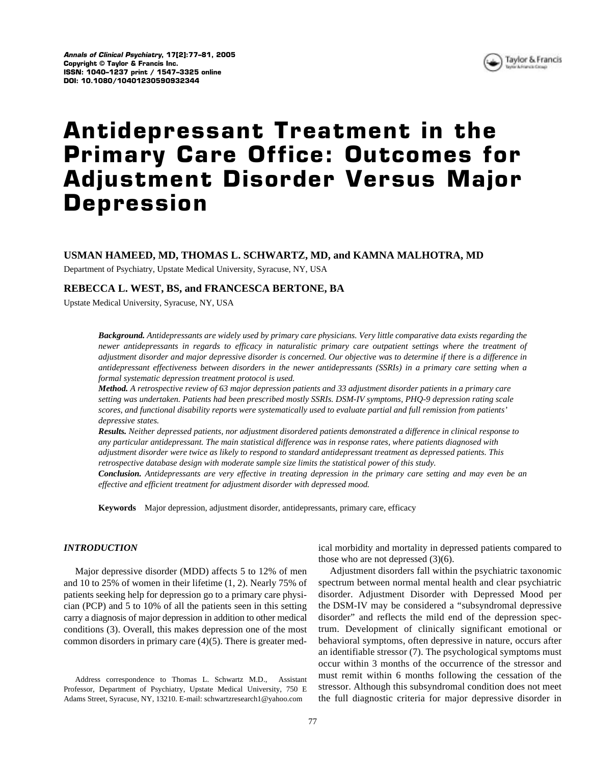

# **Antidepressant Treatment in the Primary Care Office: Outcomes for Adjustment Disorder Versus Major Depression**

# **USMAN HAMEED, MD, THOMAS L. SCHWARTZ, MD, and KAMNA MALHOTRA, MD**

Department of Psychiatry, Upstate Medical University, Syracuse, NY, USA

## **REBECCA L. WEST, BS, and FRANCESCA BERTONE, BA**

Upstate Medical University, Syracuse, NY, USA

*Background. Antidepressants are widely used by primary care physicians. Very little comparative data exists regarding the newer antidepressants in regards to efficacy in naturalistic primary care outpatient settings where the treatment of adjustment disorder and major depressive disorder is concerned. Our objective was to determine if there is a difference in antidepressant effectiveness between disorders in the newer antidepressants (SSRIs) in a primary care setting when a formal systematic depression treatment protocol is used.*

*Method. A retrospective review of 63 major depression patients and 33 adjustment disorder patients in a primary care setting was undertaken. Patients had been prescribed mostly SSRIs. DSM-IV symptoms, PHQ-9 depression rating scale scores, and functional disability reports were systematically used to evaluate partial and full remission from patients' depressive states.*

*Results. Neither depressed patients, nor adjustment disordered patients demonstrated a difference in clinical response to any particular antidepressant. The main statistical difference was in response rates, where patients diagnosed with adjustment disorder were twice as likely to respond to standard antidepressant treatment as depressed patients. This retrospective database design with moderate sample size limits the statistical power of this study.*

*Conclusion. Antidepressants are very effective in treating depression in the primary care setting and may even be an effective and efficient treatment for adjustment disorder with depressed mood.*

**Keywords** Major depression, adjustment disorder, antidepressants, primary care, efficacy

## *INTRODUCTION*

Major depressive disorder (MDD) affects 5 to 12% of men and 10 to 25% of women in their lifetime (1, 2). Nearly 75% of patients seeking help for depression go to a primary care physician (PCP) and 5 to 10% of all the patients seen in this setting carry a diagnosis of major depression in addition to other medical conditions (3). Overall, this makes depression one of the most common disorders in primary care (4)(5). There is greater med-

Address correspondence to Thomas L. Schwartz M.D., Assistant Professor, Department of Psychiatry, Upstate Medical University, 750 E Adams Street, Syracuse, NY, 13210. E-mail: schwartzresearch1@yahoo.com

ical morbidity and mortality in depressed patients compared to those who are not depressed (3)(6).

Adjustment disorders fall within the psychiatric taxonomic spectrum between normal mental health and clear psychiatric disorder. Adjustment Disorder with Depressed Mood per the DSM-IV may be considered a "subsyndromal depressive disorder" and reflects the mild end of the depression spectrum. Development of clinically significant emotional or behavioral symptoms, often depressive in nature, occurs after an identifiable stressor (7). The psychological symptoms must occur within 3 months of the occurrence of the stressor and must remit within 6 months following the cessation of the stressor. Although this subsyndromal condition does not meet the full diagnostic criteria for major depressive disorder in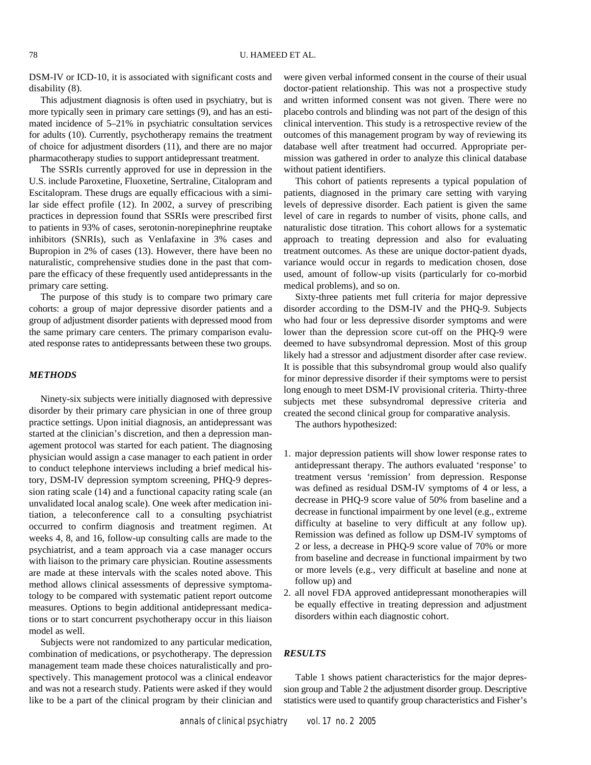DSM-IV or ICD-10, it is associated with significant costs and disability (8).

This adjustment diagnosis is often used in psychiatry, but is more typically seen in primary care settings (9), and has an estimated incidence of 5–21% in psychiatric consultation services for adults (10). Currently, psychotherapy remains the treatment of choice for adjustment disorders (11), and there are no major pharmacotherapy studies to support antidepressant treatment.

The SSRIs currently approved for use in depression in the U.S. include Paroxetine, Fluoxetine, Sertraline, Citalopram and Escitalopram. These drugs are equally efficacious with a similar side effect profile (12). In 2002, a survey of prescribing practices in depression found that SSRIs were prescribed first to patients in 93% of cases, serotonin-norepinephrine reuptake inhibitors (SNRIs), such as Venlafaxine in 3% cases and Bupropion in 2% of cases (13). However, there have been no naturalistic, comprehensive studies done in the past that compare the efficacy of these frequently used antidepressants in the primary care setting.

The purpose of this study is to compare two primary care cohorts: a group of major depressive disorder patients and a group of adjustment disorder patients with depressed mood from the same primary care centers. The primary comparison evaluated response rates to antidepressants between these two groups.

## *METHODS*

Ninety-six subjects were initially diagnosed with depressive disorder by their primary care physician in one of three group practice settings. Upon initial diagnosis, an antidepressant was started at the clinician's discretion, and then a depression management protocol was started for each patient. The diagnosing physician would assign a case manager to each patient in order to conduct telephone interviews including a brief medical history, DSM-IV depression symptom screening, PHQ-9 depression rating scale (14) and a functional capacity rating scale (an unvalidated local analog scale). One week after medication initiation, a teleconference call to a consulting psychiatrist occurred to confirm diagnosis and treatment regimen. At weeks 4, 8, and 16, follow-up consulting calls are made to the psychiatrist, and a team approach via a case manager occurs with liaison to the primary care physician. Routine assessments are made at these intervals with the scales noted above. This method allows clinical assessments of depressive symptomatology to be compared with systematic patient report outcome measures. Options to begin additional antidepressant medications or to start concurrent psychotherapy occur in this liaison model as well.

Subjects were not randomized to any particular medication, combination of medications, or psychotherapy. The depression management team made these choices naturalistically and prospectively. This management protocol was a clinical endeavor and was not a research study. Patients were asked if they would like to be a part of the clinical program by their clinician and were given verbal informed consent in the course of their usual doctor-patient relationship. This was not a prospective study and written informed consent was not given. There were no placebo controls and blinding was not part of the design of this clinical intervention. This study is a retrospective review of the outcomes of this management program by way of reviewing its database well after treatment had occurred. Appropriate permission was gathered in order to analyze this clinical database without patient identifiers.

This cohort of patients represents a typical population of patients, diagnosed in the primary care setting with varying levels of depressive disorder. Each patient is given the same level of care in regards to number of visits, phone calls, and naturalistic dose titration. This cohort allows for a systematic approach to treating depression and also for evaluating treatment outcomes. As these are unique doctor-patient dyads, variance would occur in regards to medication chosen, dose used, amount of follow-up visits (particularly for co-morbid medical problems), and so on.

Sixty-three patients met full criteria for major depressive disorder according to the DSM-IV and the PHQ-9. Subjects who had four or less depressive disorder symptoms and were lower than the depression score cut-off on the PHQ-9 were deemed to have subsyndromal depression. Most of this group likely had a stressor and adjustment disorder after case review. It is possible that this subsyndromal group would also qualify for minor depressive disorder if their symptoms were to persist long enough to meet DSM-IV provisional criteria. Thirty-three subjects met these subsyndromal depressive criteria and created the second clinical group for comparative analysis.

The authors hypothesized:

- 1. major depression patients will show lower response rates to antidepressant therapy. The authors evaluated 'response' to treatment versus 'remission' from depression. Response was defined as residual DSM-IV symptoms of 4 or less, a decrease in PHQ-9 score value of 50% from baseline and a decrease in functional impairment by one level (e.g., extreme difficulty at baseline to very difficult at any follow up). Remission was defined as follow up DSM-IV symptoms of 2 or less, a decrease in PHQ-9 score value of 70% or more from baseline and decrease in functional impairment by two or more levels (e.g., very difficult at baseline and none at follow up) and
- 2. all novel FDA approved antidepressant monotherapies will be equally effective in treating depression and adjustment disorders within each diagnostic cohort.

## *RESULTS*

Table 1 shows patient characteristics for the major depression group and Table 2 the adjustment disorder group. Descriptive statistics were used to quantify group characteristics and Fisher's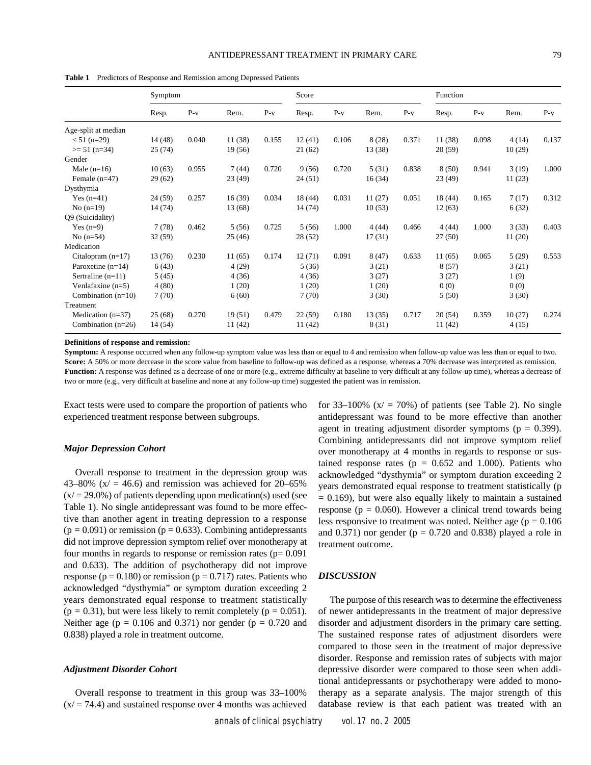|                      | Symptom |       |         | Score |         |       | Function |       |         |       |        |       |
|----------------------|---------|-------|---------|-------|---------|-------|----------|-------|---------|-------|--------|-------|
|                      | Resp.   | $P-v$ | Rem.    | $P-v$ | Resp.   | $P-v$ | Rem.     | $P-v$ | Resp.   | $P-v$ | Rem.   | $P-v$ |
| Age-split at median  |         |       |         |       |         |       |          |       |         |       |        |       |
| $< 51$ (n=29)        | 14 (48) | 0.040 | 11 (38) | 0.155 | 12(41)  | 0.106 | 8(28)    | 0.371 | 11(38)  | 0.098 | 4(14)  | 0.137 |
| $>= 51$ (n=34)       | 25(74)  |       | 19(56)  |       | 21(62)  |       | 13 (38)  |       | 20(59)  |       | 10(29) |       |
| Gender               |         |       |         |       |         |       |          |       |         |       |        |       |
| Male $(n=16)$        | 10(63)  | 0.955 | 7(44)   | 0.720 | 9(56)   | 0.720 | 5(31)    | 0.838 | 8(50)   | 0.941 | 3(19)  | 1.000 |
| Female $(n=47)$      | 29(62)  |       | 23(49)  |       | 24(51)  |       | 16(34)   |       | 23(49)  |       | 11(23) |       |
| Dysthymia            |         |       |         |       |         |       |          |       |         |       |        |       |
| Yes $(n=41)$         | 24(59)  | 0.257 | 16(39)  | 0.034 | 18(44)  | 0.031 | 11(27)   | 0.051 | 18 (44) | 0.165 | 7(17)  | 0.312 |
| No $(n=19)$          | 14 (74) |       | 13 (68) |       | 14(74)  |       | 10(53)   |       | 12(63)  |       | 6(32)  |       |
| Q9 (Suicidality)     |         |       |         |       |         |       |          |       |         |       |        |       |
| Yes $(n=9)$          | 7(78)   | 0.462 | 5(56)   | 0.725 | 5(56)   | 1.000 | 4(44)    | 0.466 | 4(44)   | 1.000 | 3(33)  | 0.403 |
| No $(n=54)$          | 32(59)  |       | 25(46)  |       | 28 (52) |       | 17(31)   |       | 27(50)  |       | 11(20) |       |
| Medication           |         |       |         |       |         |       |          |       |         |       |        |       |
| Citalopram $(n=17)$  | 13(76)  | 0.230 | 11(65)  | 0.174 | 12(71)  | 0.091 | 8(47)    | 0.633 | 11(65)  | 0.065 | 5(29)  | 0.553 |
| Paroxetine $(n=14)$  | 6(43)   |       | 4(29)   |       | 5(36)   |       | 3(21)    |       | 8(57)   |       | 3(21)  |       |
| Sertraline $(n=11)$  | 5(45)   |       | 4(36)   |       | 4(36)   |       | 3(27)    |       | 3(27)   |       | 1(9)   |       |
| Venlafaxine $(n=5)$  | 4(80)   |       | 1(20)   |       | 1(20)   |       | 1(20)    |       | 0(0)    |       | 0(0)   |       |
| Combination $(n=10)$ | 7(70)   |       | 6(60)   |       | 7(70)   |       | 3(30)    |       | 5(50)   |       | 3(30)  |       |
| Treatment            |         |       |         |       |         |       |          |       |         |       |        |       |
| Medication $(n=37)$  | 25(68)  | 0.270 | 19(51)  | 0.479 | 22(59)  | 0.180 | 13(35)   | 0.717 | 20(54)  | 0.359 | 10(27) | 0.274 |
| Combination $(n=26)$ | 14 (54) |       | 11(42)  |       | 11(42)  |       | 8 (31)   |       | 11(42)  |       | 4(15)  |       |

**Table 1** Predictors of Response and Remission among Depressed Patients

**Definitions of response and remission:**

**Symptom:** A response occurred when any follow-up symptom value was less than or equal to 4 and remission when follow-up value was less than or equal to two. **Score:** A 50% or more decrease in the score value from baseline to follow-up was defined as a response, whereas a 70% decrease was interpreted as remission. Function: A response was defined as a decrease of one or more (e.g., extreme difficulty at baseline to very difficult at any follow-up time), whereas a decrease of two or more (e.g., very difficult at baseline and none at any follow-up time) suggested the patient was in remission.

Exact tests were used to compare the proportion of patients who experienced treatment response between subgroups.

#### *Major Depression Cohort*

Overall response to treatment in the depression group was 43–80% ( $x/ = 46.6$ ) and remission was achieved for 20–65%  $(x/ = 29.0\%)$  of patients depending upon medication(s) used (see Table 1). No single antidepressant was found to be more effective than another agent in treating depression to a response  $(p = 0.091)$  or remission  $(p = 0.633)$ . Combining antidepressants did not improve depression symptom relief over monotherapy at four months in regards to response or remission rates  $(p= 0.091)$ and 0.633). The addition of psychotherapy did not improve response ( $p = 0.180$ ) or remission ( $p = 0.717$ ) rates. Patients who acknowledged "dysthymia" or symptom duration exceeding 2 years demonstrated equal response to treatment statistically  $(p = 0.31)$ , but were less likely to remit completely  $(p = 0.051)$ . Neither age ( $p = 0.106$  and 0.371) nor gender ( $p = 0.720$  and 0.838) played a role in treatment outcome.

### *Adjustment Disorder Cohort*

Overall response to treatment in this group was 33–100%  $(x) = 74.4$ ) and sustained response over 4 months was achieved for 33–100%  $(x/ = 70\%)$  of patients (see Table 2). No single antidepressant was found to be more effective than another agent in treating adjustment disorder symptoms ( $p = 0.399$ ). Combining antidepressants did not improve symptom relief over monotherapy at 4 months in regards to response or sustained response rates ( $p = 0.652$  and 1.000). Patients who acknowledged "dysthymia" or symptom duration exceeding 2 years demonstrated equal response to treatment statistically (p  $= 0.169$ ), but were also equally likely to maintain a sustained response ( $p = 0.060$ ). However a clinical trend towards being less responsive to treatment was noted. Neither age ( $p = 0.106$ ) and  $0.371$ ) nor gender ( $p = 0.720$  and  $0.838$ ) played a role in treatment outcome.

#### *DISCUSSION*

The purpose of this research was to determine the effectiveness of newer antidepressants in the treatment of major depressive disorder and adjustment disorders in the primary care setting. The sustained response rates of adjustment disorders were compared to those seen in the treatment of major depressive disorder. Response and remission rates of subjects with major depressive disorder were compared to those seen when additional antidepressants or psychotherapy were added to monotherapy as a separate analysis. The major strength of this database review is that each patient was treated with an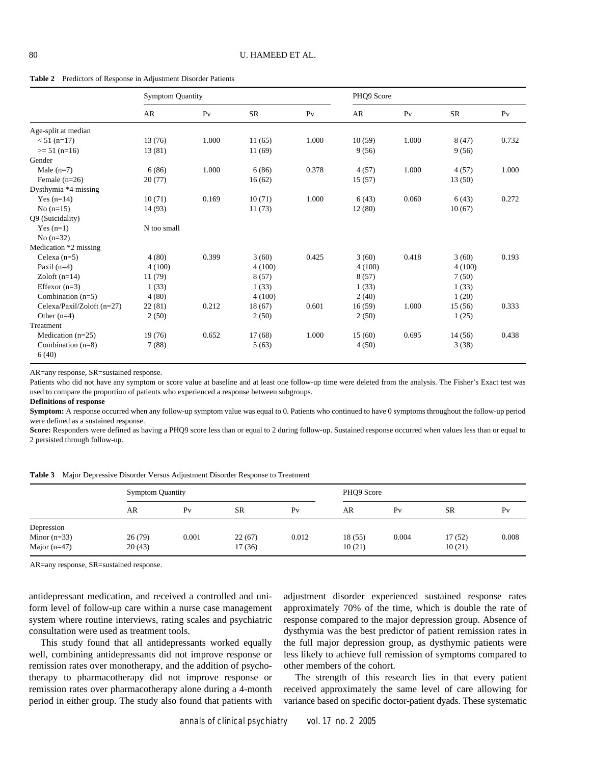**Table 2** Predictors of Response in Adjustment Disorder Patients

|                              | <b>Symptom Quantity</b> |                |           | PHQ9 Score     |        |                |           |                |
|------------------------------|-------------------------|----------------|-----------|----------------|--------|----------------|-----------|----------------|
|                              | AR                      | P <sub>V</sub> | <b>SR</b> | P <sub>V</sub> | AR     | P <sub>V</sub> | <b>SR</b> | P <sub>V</sub> |
| Age-split at median          |                         |                |           |                |        |                |           |                |
| $< 51$ (n=17)                | 13(76)                  | 1.000          | 11(65)    | 1.000          | 10(59) | 1.000          | 8(47)     | 0.732          |
| $>= 51$ (n=16)               | 13(81)                  |                | 11(69)    |                | 9(56)  |                | 9(56)     |                |
| Gender                       |                         |                |           |                |        |                |           |                |
| Male $(n=7)$                 | 6(86)                   | 1.000          | 6(86)     | 0.378          | 4(57)  | 1.000          | 4(57)     | 1.000          |
| Female $(n=26)$              | 20(77)                  |                | 16(62)    |                | 15(57) |                | 13 (50)   |                |
| Dysthymia *4 missing         |                         |                |           |                |        |                |           |                |
| Yes $(n=14)$                 | 10(71)                  | 0.169          | 10(71)    | 1.000          | 6(43)  | 0.060          | 6(43)     | 0.272          |
| $No(n=15)$                   | 14 (93)                 |                | 11(73)    |                | 12(80) |                | 10(67)    |                |
| Q9 (Suicidality)             |                         |                |           |                |        |                |           |                |
| Yes $(n=1)$                  | N too small             |                |           |                |        |                |           |                |
| $No(n=32)$                   |                         |                |           |                |        |                |           |                |
| Medication *2 missing        |                         |                |           |                |        |                |           |                |
| Celexa $(n=5)$               | 4(80)                   | 0.399          | 3(60)     | 0.425          | 3(60)  | 0.418          | 3(60)     | 0.193          |
| Paxil $(n=4)$                | 4(100)                  |                | 4(100)    |                | 4(100) |                | 4(100)    |                |
| Zoloft $(n=14)$              | 11(79)                  |                | 8(57)     |                | 8(57)  |                | 7(50)     |                |
| Effexor $(n=3)$              | 1(33)                   |                | 1(33)     |                | 1(33)  |                | 1(33)     |                |
| Combination (n=5)            | 4(80)                   |                | 4(100)    |                | 2(40)  |                | 1(20)     |                |
| Celexa/Paxil/Zoloft (n=27)   | 22(81)                  | 0.212          | 18(67)    | 0.601          | 16(59) | 1.000          | 15 (56)   | 0.333          |
| Other $(n=4)$                | 2(50)                   |                | 2(50)     |                | 2(50)  |                | 1(25)     |                |
| Treatment                    |                         |                |           |                |        |                |           |                |
| Medication $(n=25)$          | 19(76)                  | 0.652          | 17(68)    | 1.000          | 15(60) | 0.695          | 14(56)    | 0.438          |
| Combination $(n=8)$<br>6(40) | 7(88)                   |                | 5(63)     |                | 4(50)  |                | 3(38)     |                |

AR=any response, SR=sustained response.

Patients who did not have any symptom or score value at baseline and at least one follow-up time were deleted from the analysis. The Fisher's Exact test was used to compare the proportion of patients who experienced a response between subgroups.

#### **Definitions of response**

**Symptom:** A response occurred when any follow-up symptom value was equal to 0. Patients who continued to have 0 symptoms throughout the follow-up period were defined as a sustained response.

**Score:** Responders were defined as having a PHQ9 score less than or equal to 2 during follow-up. Sustained response occurred when values less than or equal to 2 persisted through follow-up.

|  |  | <b>Table 3</b> Major Depressive Disorder Versus Adjustment Disorder Response to Treatment |
|--|--|-------------------------------------------------------------------------------------------|
|  |  |                                                                                           |

|                | <b>Symptom Quantity</b> |                |           |       | PHQ9 Score |                |           |                |  |
|----------------|-------------------------|----------------|-----------|-------|------------|----------------|-----------|----------------|--|
|                | AR                      | P <sub>V</sub> | <b>SR</b> | Pv    | AR         | P <sub>V</sub> | <b>SR</b> | P <sub>V</sub> |  |
| Depression     |                         |                |           |       |            |                |           |                |  |
| Minor $(n=33)$ | 26 (79)                 | 0.001          | 22(67)    | 0.012 | 18(55)     | 0.004          | 17(52)    | 0.008          |  |
| Major $(n=47)$ | 20(43)                  |                | 17(36)    |       | 10(21)     |                | 10(21)    |                |  |

AR=any response, SR=sustained response.

antidepressant medication, and received a controlled and uniform level of follow-up care within a nurse case management system where routine interviews, rating scales and psychiatric consultation were used as treatment tools.

This study found that all antidepressants worked equally well, combining antidepressants did not improve response or remission rates over monotherapy, and the addition of psychotherapy to pharmacotherapy did not improve response or remission rates over pharmacotherapy alone during a 4-month period in either group. The study also found that patients with

adjustment disorder experienced sustained response rates approximately 70% of the time, which is double the rate of response compared to the major depression group. Absence of dysthymia was the best predictor of patient remission rates in the full major depression group, as dysthymic patients were less likely to achieve full remission of symptoms compared to other members of the cohort.

The strength of this research lies in that every patient received approximately the same level of care allowing for variance based on specific doctor-patient dyads. These systematic